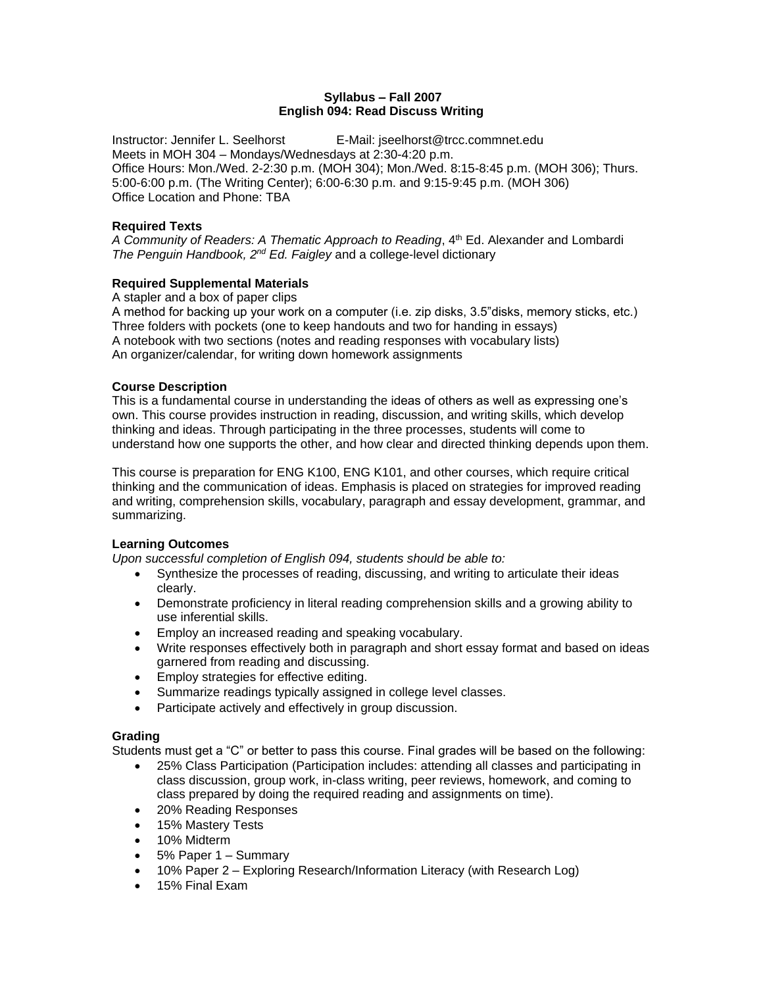# **Syllabus – Fall 2007 English 094: Read Discuss Writing**

Instructor: Jennifer L. Seelhorst E-Mail: jseelhorst@trcc.commnet.edu Meets in MOH 304 – Mondays/Wednesdays at 2:30-4:20 p.m. Office Hours: Mon./Wed. 2-2:30 p.m. (MOH 304); Mon./Wed. 8:15-8:45 p.m. (MOH 306); Thurs. 5:00-6:00 p.m. (The Writing Center); 6:00-6:30 p.m. and 9:15-9:45 p.m. (MOH 306) Office Location and Phone: TBA

# **Required Texts**

A Community of Readers: A Thematic Approach to Reading, 4<sup>th</sup> Ed. Alexander and Lombardi *The Penguin Handbook, 2nd Ed. Faigley* and a college-level dictionary

# **Required Supplemental Materials**

A stapler and a box of paper clips

A method for backing up your work on a computer (i.e. zip disks, 3.5"disks, memory sticks, etc.) Three folders with pockets (one to keep handouts and two for handing in essays) A notebook with two sections (notes and reading responses with vocabulary lists) An organizer/calendar, for writing down homework assignments

# **Course Description**

This is a fundamental course in understanding the ideas of others as well as expressing one's own. This course provides instruction in reading, discussion, and writing skills, which develop thinking and ideas. Through participating in the three processes, students will come to understand how one supports the other, and how clear and directed thinking depends upon them.

This course is preparation for ENG K100, ENG K101, and other courses, which require critical thinking and the communication of ideas. Emphasis is placed on strategies for improved reading and writing, comprehension skills, vocabulary, paragraph and essay development, grammar, and summarizing.

# **Learning Outcomes**

*Upon successful completion of English 094, students should be able to:*

- Synthesize the processes of reading, discussing, and writing to articulate their ideas clearly.
- Demonstrate proficiency in literal reading comprehension skills and a growing ability to use inferential skills.
- Employ an increased reading and speaking vocabulary.
- Write responses effectively both in paragraph and short essay format and based on ideas garnered from reading and discussing.
- **Employ strategies for effective editing.**
- Summarize readings typically assigned in college level classes.
- Participate actively and effectively in group discussion.

### **Grading**

Students must get a "C" or better to pass this course. Final grades will be based on the following:

- 25% Class Participation (Participation includes: attending all classes and participating in class discussion, group work, in-class writing, peer reviews, homework, and coming to class prepared by doing the required reading and assignments on time).
- 20% Reading Responses
- 15% Mastery Tests
- 10% Midterm
- 5% Paper 1 Summary
- 10% Paper 2 Exploring Research/Information Literacy (with Research Log)
- 15% Final Exam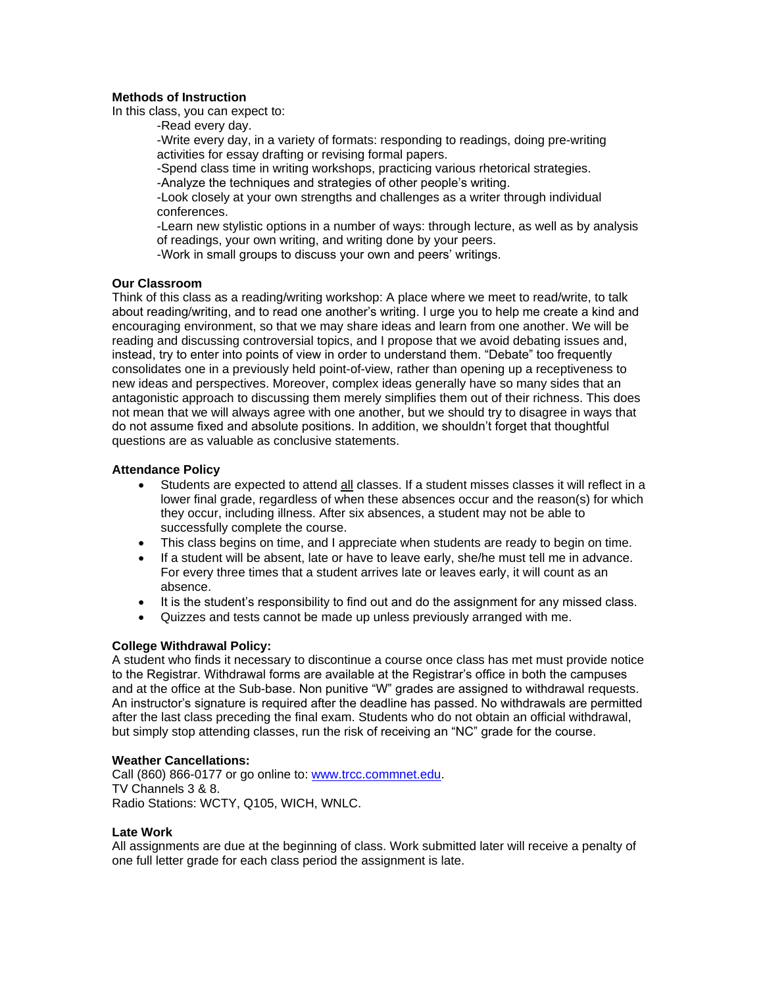## **Methods of Instruction**

In this class, you can expect to:

-Read every day.

-Write every day, in a variety of formats: responding to readings, doing pre-writing activities for essay drafting or revising formal papers.

-Spend class time in writing workshops, practicing various rhetorical strategies.

-Analyze the techniques and strategies of other people's writing.

-Look closely at your own strengths and challenges as a writer through individual conferences.

-Learn new stylistic options in a number of ways: through lecture, as well as by analysis of readings, your own writing, and writing done by your peers.

-Work in small groups to discuss your own and peers' writings.

### **Our Classroom**

Think of this class as a reading/writing workshop: A place where we meet to read/write, to talk about reading/writing, and to read one another's writing. I urge you to help me create a kind and encouraging environment, so that we may share ideas and learn from one another. We will be reading and discussing controversial topics, and I propose that we avoid debating issues and, instead, try to enter into points of view in order to understand them. "Debate" too frequently consolidates one in a previously held point-of-view, rather than opening up a receptiveness to new ideas and perspectives. Moreover, complex ideas generally have so many sides that an antagonistic approach to discussing them merely simplifies them out of their richness. This does not mean that we will always agree with one another, but we should try to disagree in ways that do not assume fixed and absolute positions. In addition, we shouldn't forget that thoughtful questions are as valuable as conclusive statements.

# **Attendance Policy**

- Students are expected to attend all classes. If a student misses classes it will reflect in a lower final grade, regardless of when these absences occur and the reason(s) for which they occur, including illness. After six absences, a student may not be able to successfully complete the course.
- This class begins on time, and I appreciate when students are ready to begin on time.
- If a student will be absent, late or have to leave early, she/he must tell me in advance. For every three times that a student arrives late or leaves early, it will count as an absence.
- It is the student's responsibility to find out and do the assignment for any missed class.
- Quizzes and tests cannot be made up unless previously arranged with me.

# **College Withdrawal Policy:**

A student who finds it necessary to discontinue a course once class has met must provide notice to the Registrar. Withdrawal forms are available at the Registrar's office in both the campuses and at the office at the Sub-base. Non punitive "W" grades are assigned to withdrawal requests. An instructor's signature is required after the deadline has passed. No withdrawals are permitted after the last class preceding the final exam. Students who do not obtain an official withdrawal, but simply stop attending classes, run the risk of receiving an "NC" grade for the course.

### **Weather Cancellations:**

Call (860) 866-0177 or go online to: [www.trcc.commnet.edu.](http://www.trcc.commnet.edu/) TV Channels 3 & 8. Radio Stations: WCTY, Q105, WICH, WNLC.

### **Late Work**

All assignments are due at the beginning of class. Work submitted later will receive a penalty of one full letter grade for each class period the assignment is late.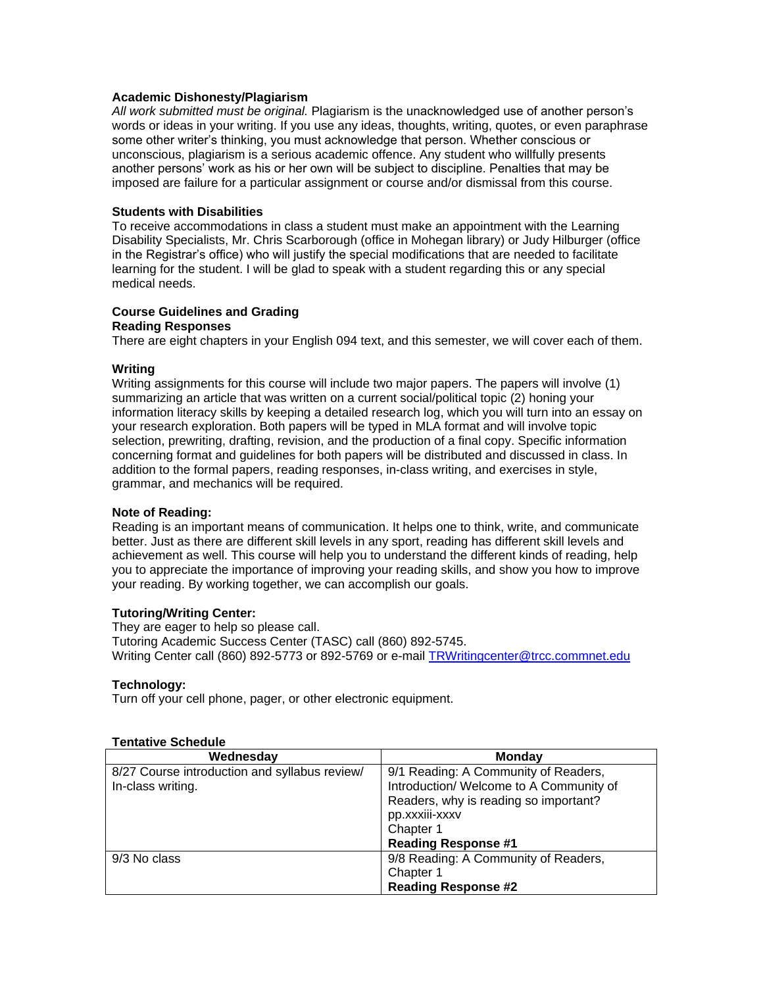#### **Academic Dishonesty/Plagiarism**

*All work submitted must be original.* Plagiarism is the unacknowledged use of another person's words or ideas in your writing. If you use any ideas, thoughts, writing, quotes, or even paraphrase some other writer's thinking, you must acknowledge that person. Whether conscious or unconscious, plagiarism is a serious academic offence. Any student who willfully presents another persons' work as his or her own will be subject to discipline. Penalties that may be imposed are failure for a particular assignment or course and/or dismissal from this course.

#### **Students with Disabilities**

To receive accommodations in class a student must make an appointment with the Learning Disability Specialists, Mr. Chris Scarborough (office in Mohegan library) or Judy Hilburger (office in the Registrar's office) who will justify the special modifications that are needed to facilitate learning for the student. I will be glad to speak with a student regarding this or any special medical needs.

#### **Course Guidelines and Grading Reading Responses**

There are eight chapters in your English 094 text, and this semester, we will cover each of them.

#### **Writing**

Writing assignments for this course will include two major papers. The papers will involve (1) summarizing an article that was written on a current social/political topic (2) honing your information literacy skills by keeping a detailed research log, which you will turn into an essay on your research exploration. Both papers will be typed in MLA format and will involve topic selection, prewriting, drafting, revision, and the production of a final copy. Specific information concerning format and guidelines for both papers will be distributed and discussed in class. In addition to the formal papers, reading responses, in-class writing, and exercises in style, grammar, and mechanics will be required.

#### **Note of Reading:**

Reading is an important means of communication. It helps one to think, write, and communicate better. Just as there are different skill levels in any sport, reading has different skill levels and achievement as well. This course will help you to understand the different kinds of reading, help you to appreciate the importance of improving your reading skills, and show you how to improve your reading. By working together, we can accomplish our goals.

### **Tutoring/Writing Center:**

They are eager to help so please call. Tutoring Academic Success Center (TASC) call (860) 892-5745. Writing Center call (860) 892-5773 or 892-5769 or e-mail [TRWritingcenter@trcc.commnet.edu](mailto:TRWritingcenter@trcc.commnet.edu)

### **Technology:**

Turn off your cell phone, pager, or other electronic equipment.

| Wednesday                                     | <b>Monday</b>                           |
|-----------------------------------------------|-----------------------------------------|
| 8/27 Course introduction and syllabus review/ | 9/1 Reading: A Community of Readers,    |
| In-class writing.                             | Introduction/ Welcome to A Community of |
|                                               | Readers, why is reading so important?   |
|                                               | pp.xxxiii-xxxv                          |
|                                               | Chapter 1                               |
|                                               | <b>Reading Response #1</b>              |
| 9/3 No class                                  | 9/8 Reading: A Community of Readers,    |
|                                               | Chapter 1                               |
|                                               | <b>Reading Response #2</b>              |

#### **Tentative Schedule**